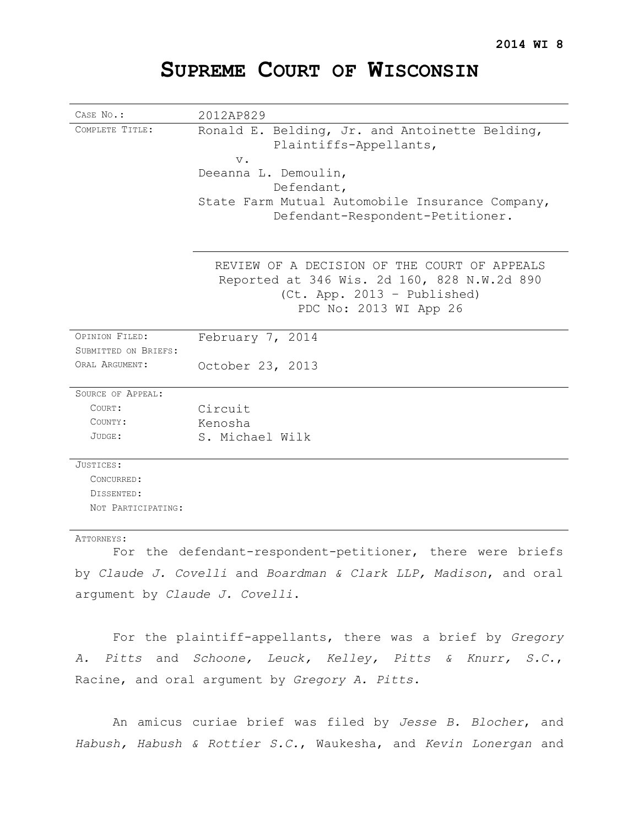# **SUPREME COURT OF WISCONSIN**

| CASE No.:                                                        | 2012AP829                                                                                                                  |
|------------------------------------------------------------------|----------------------------------------------------------------------------------------------------------------------------|
| COMPLETE TITLE:                                                  | Ronald E. Belding, Jr. and Antoinette Belding,<br>Plaintiffs-Appellants,                                                   |
|                                                                  | $V$ .                                                                                                                      |
|                                                                  | Deeanna L. Demoulin,                                                                                                       |
|                                                                  | Defendant,                                                                                                                 |
|                                                                  | State Farm Mutual Automobile Insurance Company,<br>Defendant-Respondent-Petitioner.                                        |
|                                                                  |                                                                                                                            |
|                                                                  | REVIEW OF A DECISION OF THE COURT OF APPEALS<br>Reported at 346 Wis. 2d 160, 828 N.W.2d 890<br>(Ct. App. 2013 - Published) |
|                                                                  | PDC No: 2013 WI App 26                                                                                                     |
| OPINION FILED:                                                   | February 7, 2014                                                                                                           |
| SUBMITTED ON BRIEFS:                                             |                                                                                                                            |
| ORAL ARGUMENT:                                                   | October 23, 2013                                                                                                           |
| <b>SOURCE OF APPEAL:</b>                                         |                                                                                                                            |
| COURT:                                                           | Circuit                                                                                                                    |
| COUNTY:                                                          | Kenosha                                                                                                                    |
| JUDGE:                                                           | S. Michael Wilk                                                                                                            |
| JUSTICES:                                                        |                                                                                                                            |
| CONCURRED:                                                       |                                                                                                                            |
| DISSENTED:                                                       |                                                                                                                            |
| NOT PARTICIPATING:                                               |                                                                                                                            |
| ATTORNEYS:                                                       |                                                                                                                            |
|                                                                  | For the defendant-respondent-petitioner, there were briefs                                                                 |
| by Claude J. Covelli and Boardman & Clark LLP, Madison, and oral |                                                                                                                            |

argument by *Claude J. Covelli*.

For the plaintiff-appellants, there was a brief by *Gregory A. Pitts* and *Schoone, Leuck, Kelley, Pitts & Knurr, S.C.*, Racine, and oral argument by *Gregory A. Pitts*.

An amicus curiae brief was filed by *Jesse B. Blocher*, and *Habush, Habush & Rottier S.C.*, Waukesha, and *Kevin Lonergan* and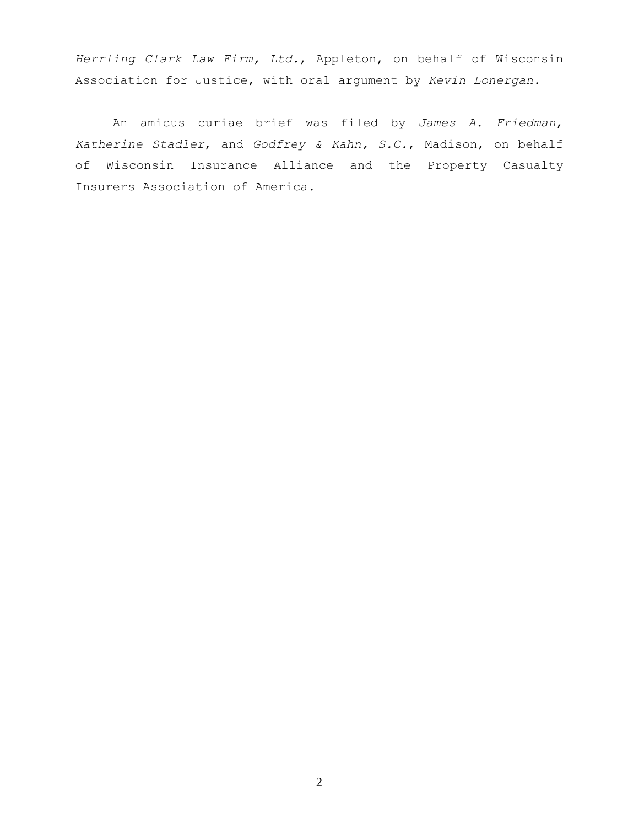*Herrling Clark Law Firm, Ltd.*, Appleton, on behalf of Wisconsin Association for Justice, with oral argument by *Kevin Lonergan*.

An amicus curiae brief was filed by *James A. Friedman*, *Katherine Stadler*, and *Godfrey & Kahn, S.C.*, Madison, on behalf of Wisconsin Insurance Alliance and the Property Casualty Insurers Association of America.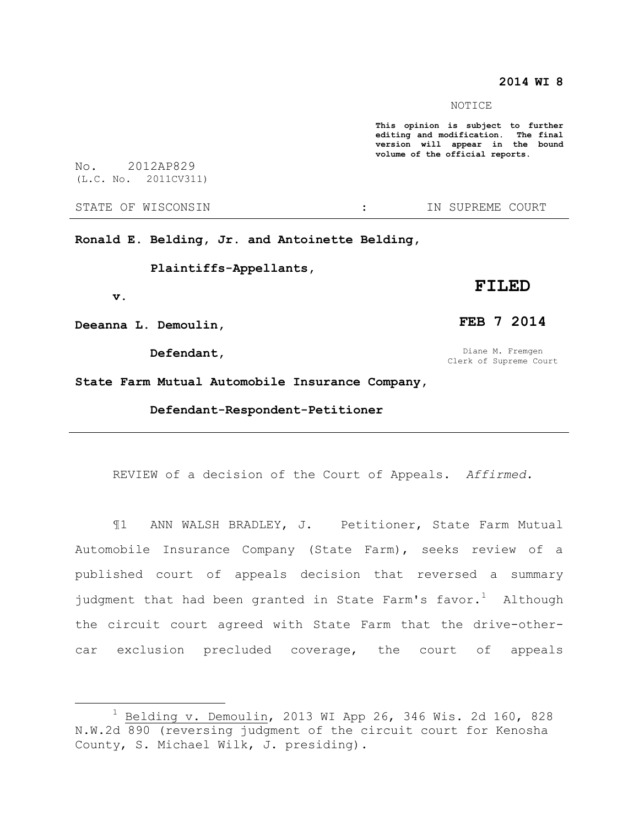# **2014 WI 8**

#### NOTICE

**This opinion is subject to further editing and modification. The final version will appear in the bound volume of the official reports.** 

No. 2012AP829 (L.C. No. 2011CV311)

STATE OF WISCONSIN THE RESERVE STATE OF WISCONSIN THE SERVER SOURT

**Ronald E. Belding, Jr. and Antoinette Belding,**

**Plaintiffs-Appellants,** 

#### **v.**

 $\overline{a}$ 

**Deeanna L. Demoulin,** 

**Defendant,**

# **FILED**

## **FEB 7 2014**

Diane M. Fremgen Clerk of Supreme Court

**State Farm Mutual Automobile Insurance Company,**

**Defendant-Respondent-Petitioner**

REVIEW of a decision of the Court of Appeals. *Affirmed.*

¶1 ANN WALSH BRADLEY, J. Petitioner, State Farm Mutual Automobile Insurance Company (State Farm), seeks review of a published court of appeals decision that reversed a summary judgment that had been granted in State Farm's  $f$ avor.<sup>1</sup> Although the circuit court agreed with State Farm that the drive-othercar exclusion precluded coverage, the court of appeals

 $1$  Belding v. Demoulin, 2013 WI App 26, 346 Wis. 2d 160, 828 N.W.2d 890 (reversing judgment of the circuit court for Kenosha County, S. Michael Wilk, J. presiding).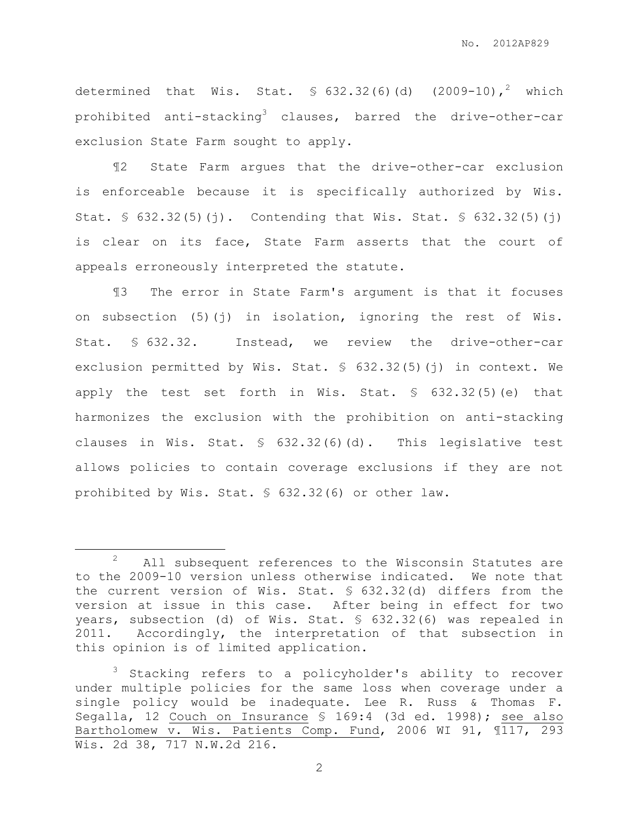determined that Wis. Stat.  $\frac{1}{2}$  632.32(6)(d) (2009-10),<sup>2</sup> which prohibited anti-stacking<sup>3</sup> clauses, barred the drive-other-car exclusion State Farm sought to apply.

¶2 State Farm argues that the drive-other-car exclusion is enforceable because it is specifically authorized by Wis. Stat.  $\frac{1}{5}$  632.32(5)(j). Contending that Wis. Stat.  $\frac{1}{5}$  632.32(5)(j) is clear on its face, State Farm asserts that the court of appeals erroneously interpreted the statute.

¶3 The error in State Farm's argument is that it focuses on subsection (5)(j) in isolation, ignoring the rest of Wis. Stat. § 632.32. Instead, we review the drive-other-car exclusion permitted by Wis. Stat. § 632.32(5)(j) in context. We apply the test set forth in Wis. Stat.  $\frac{1}{5}$  632.32(5)(e) that harmonizes the exclusion with the prohibition on anti-stacking clauses in Wis. Stat. § 632.32(6)(d). This legislative test allows policies to contain coverage exclusions if they are not prohibited by Wis. Stat. § 632.32(6) or other law.

 $\overline{a}$ 

<sup>&</sup>lt;sup>2</sup> All subsequent references to the Wisconsin Statutes are to the 2009-10 version unless otherwise indicated. We note that the current version of Wis. Stat. § 632.32(d) differs from the version at issue in this case. After being in effect for two years, subsection (d) of Wis. Stat. § 632.32(6) was repealed in 2011. Accordingly, the interpretation of that subsection in this opinion is of limited application.

<sup>3</sup> Stacking refers to a policyholder's ability to recover under multiple policies for the same loss when coverage under a single policy would be inadequate. Lee R. Russ & Thomas F. Segalla, 12 Couch on Insurance § 169:4 (3d ed. 1998); see also Bartholomew v. Wis. Patients Comp. Fund, 2006 WI 91, ¶117, 293 Wis. 2d 38, 717 N.W.2d 216.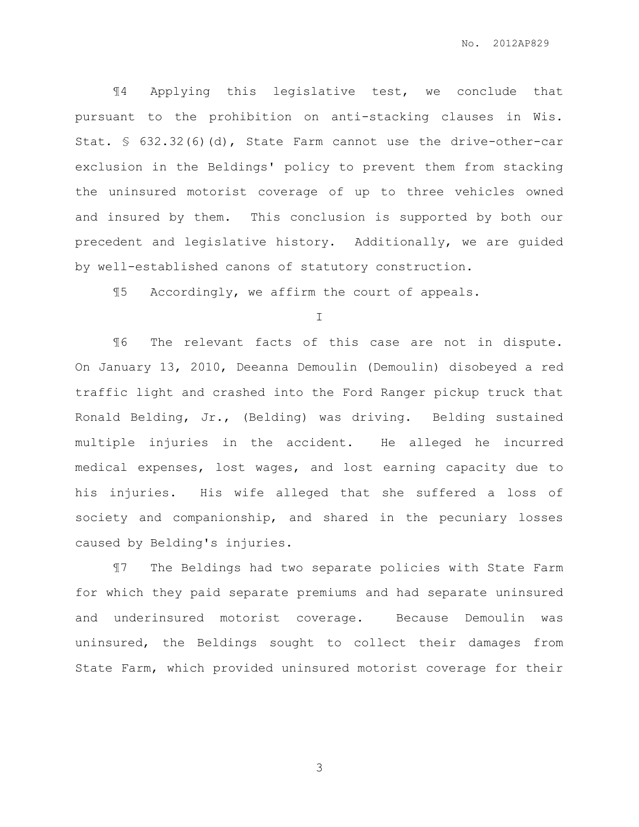¶4 Applying this legislative test, we conclude that pursuant to the prohibition on anti-stacking clauses in Wis. Stat. § 632.32(6)(d), State Farm cannot use the drive-other-car exclusion in the Beldings' policy to prevent them from stacking the uninsured motorist coverage of up to three vehicles owned and insured by them. This conclusion is supported by both our precedent and legislative history. Additionally, we are guided by well-established canons of statutory construction.

¶5 Accordingly, we affirm the court of appeals.

I

¶6 The relevant facts of this case are not in dispute. On January 13, 2010, Deeanna Demoulin (Demoulin) disobeyed a red traffic light and crashed into the Ford Ranger pickup truck that Ronald Belding, Jr., (Belding) was driving. Belding sustained multiple injuries in the accident. He alleged he incurred medical expenses, lost wages, and lost earning capacity due to his injuries. His wife alleged that she suffered a loss of society and companionship, and shared in the pecuniary losses caused by Belding's injuries.

¶7 The Beldings had two separate policies with State Farm for which they paid separate premiums and had separate uninsured and underinsured motorist coverage. Because Demoulin was uninsured, the Beldings sought to collect their damages from State Farm, which provided uninsured motorist coverage for their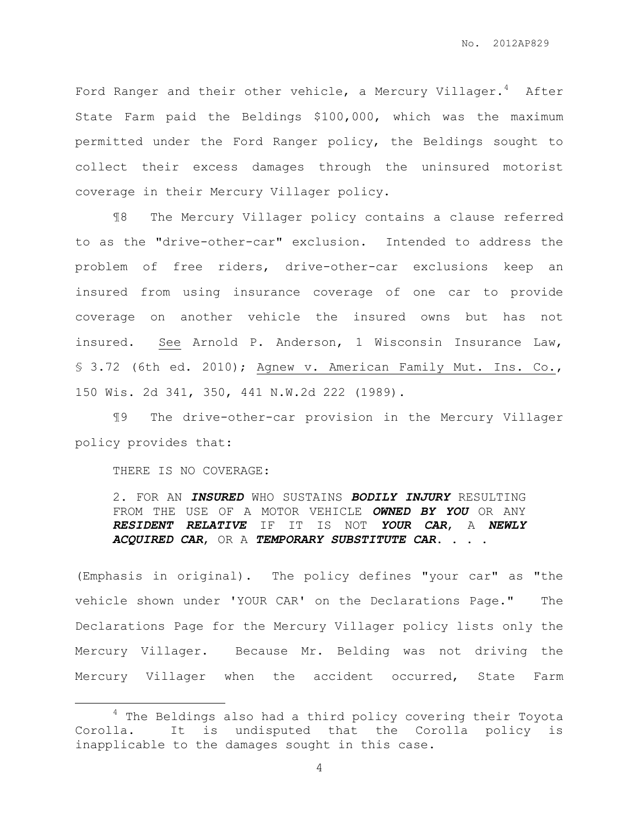Ford Ranger and their other vehicle, a Mercury Villager.<sup>4</sup> After State Farm paid the Beldings \$100,000, which was the maximum permitted under the Ford Ranger policy, the Beldings sought to collect their excess damages through the uninsured motorist coverage in their Mercury Villager policy.

¶8 The Mercury Villager policy contains a clause referred to as the "drive-other-car" exclusion. Intended to address the problem of free riders, drive-other-car exclusions keep an insured from using insurance coverage of one car to provide coverage on another vehicle the insured owns but has not insured. See Arnold P. Anderson, 1 Wisconsin Insurance Law, § 3.72 (6th ed. 2010); Agnew v. American Family Mut. Ins. Co., 150 Wis. 2d 341, 350, 441 N.W.2d 222 (1989).

¶9 The drive-other-car provision in the Mercury Villager policy provides that:

THERE IS NO COVERAGE:

 $\overline{a}$ 

2. FOR AN *INSURED* WHO SUSTAINS *BODILY INJURY* RESULTING FROM THE USE OF A MOTOR VEHICLE *OWNED BY YOU* OR ANY *RESIDENT RELATIVE* IF IT IS NOT *YOUR CAR*, A *NEWLY ACQUIRED CAR*, OR A *TEMPORARY SUBSTITUTE CAR*. . . .

(Emphasis in original). The policy defines "your car" as "the vehicle shown under 'YOUR CAR' on the Declarations Page." The Declarations Page for the Mercury Villager policy lists only the Mercury Villager. Because Mr. Belding was not driving the Mercury Villager when the accident occurred, State Farm

<sup>&</sup>lt;sup>4</sup> The Beldings also had a third policy covering their Toyota Corolla. It is undisputed that the Corolla policy is inapplicable to the damages sought in this case.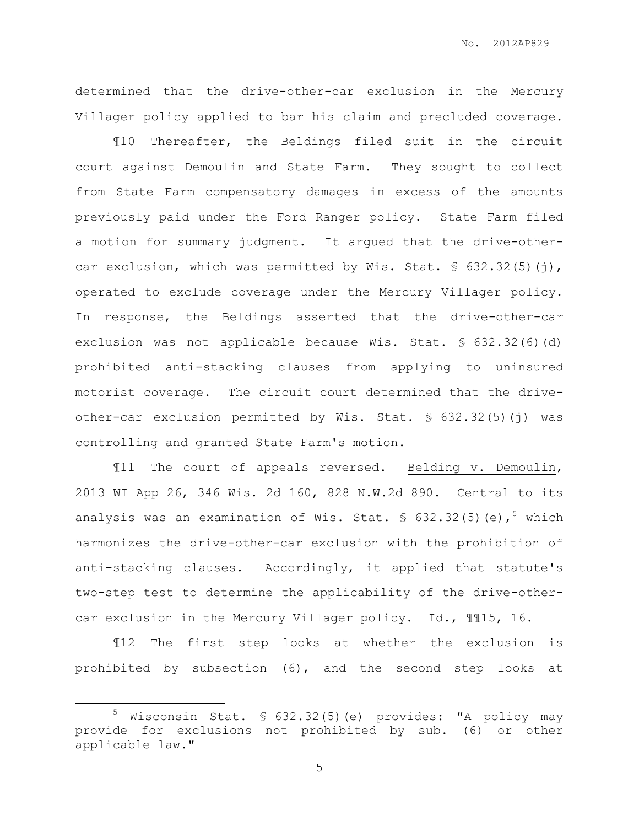determined that the drive-other-car exclusion in the Mercury Villager policy applied to bar his claim and precluded coverage.

¶10 Thereafter, the Beldings filed suit in the circuit court against Demoulin and State Farm. They sought to collect from State Farm compensatory damages in excess of the amounts previously paid under the Ford Ranger policy. State Farm filed a motion for summary judgment. It argued that the drive-othercar exclusion, which was permitted by Wis. Stat.  $\S$  632.32(5)(j), operated to exclude coverage under the Mercury Villager policy. In response, the Beldings asserted that the drive-other-car exclusion was not applicable because Wis. Stat. § 632.32(6)(d) prohibited anti-stacking clauses from applying to uninsured motorist coverage. The circuit court determined that the driveother-car exclusion permitted by Wis. Stat. § 632.32(5)(j) was controlling and granted State Farm's motion.

¶11 The court of appeals reversed. Belding v. Demoulin, 2013 WI App 26, 346 Wis. 2d 160, 828 N.W.2d 890. Central to its analysis was an examination of Wis. Stat.  $\frac{1}{5}$  632.32(5)(e),<sup>5</sup> which harmonizes the drive-other-car exclusion with the prohibition of anti-stacking clauses. Accordingly, it applied that statute's two-step test to determine the applicability of the drive-othercar exclusion in the Mercury Villager policy. Id., ¶¶15, 16.

¶12 The first step looks at whether the exclusion is prohibited by subsection (6), and the second step looks at

 $\overline{a}$ 

<sup>5</sup> Wisconsin Stat. § 632.32(5)(e) provides: "A policy may provide for exclusions not prohibited by sub. (6) or other applicable law."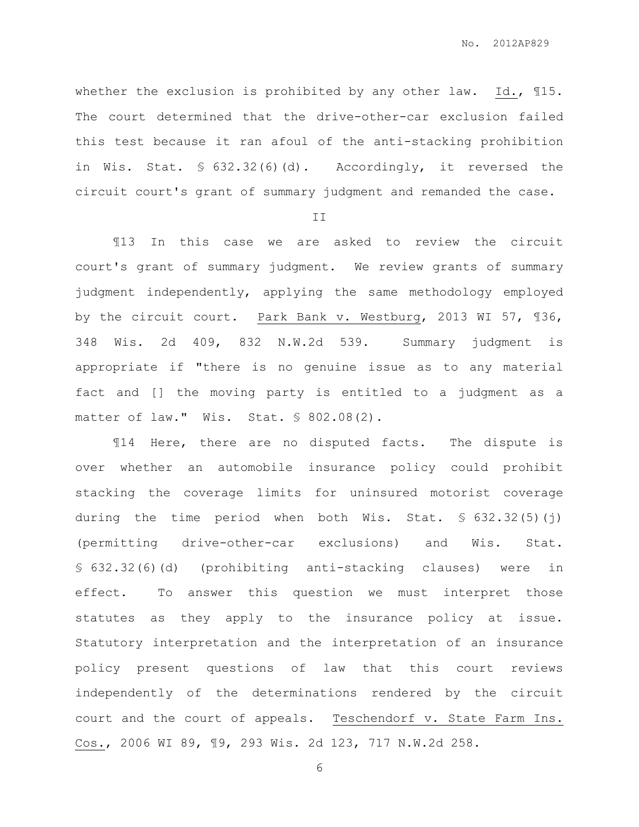whether the exclusion is prohibited by any other law. Id., 115. The court determined that the drive-other-car exclusion failed this test because it ran afoul of the anti-stacking prohibition in Wis. Stat. § 632.32(6)(d). Accordingly, it reversed the circuit court's grant of summary judgment and remanded the case.

II

¶13 In this case we are asked to review the circuit court's grant of summary judgment. We review grants of summary judgment independently, applying the same methodology employed by the circuit court. Park Bank v. Westburg, 2013 WI 57, ¶36, 348 Wis. 2d 409, 832 N.W.2d 539. Summary judgment is appropriate if "there is no genuine issue as to any material fact and [] the moving party is entitled to a judgment as a matter of law." Wis. Stat. § 802.08(2).

¶14 Here, there are no disputed facts. The dispute is over whether an automobile insurance policy could prohibit stacking the coverage limits for uninsured motorist coverage during the time period when both Wis. Stat.  $\$$  632.32(5)(j) (permitting drive-other-car exclusions) and Wis. Stat. § 632.32(6)(d) (prohibiting anti-stacking clauses) were in effect. To answer this question we must interpret those statutes as they apply to the insurance policy at issue. Statutory interpretation and the interpretation of an insurance policy present questions of law that this court reviews independently of the determinations rendered by the circuit court and the court of appeals. Teschendorf v. State Farm Ins. Cos., 2006 WI 89, ¶9, 293 Wis. 2d 123, 717 N.W.2d 258.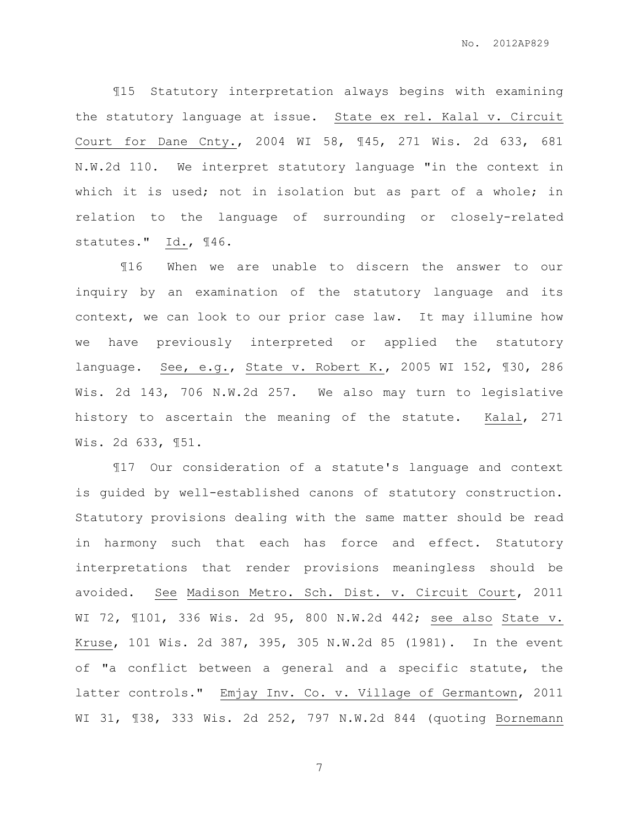¶15 Statutory interpretation always begins with examining the statutory language at issue. State ex rel. Kalal v. Circuit Court for Dane Cnty., 2004 WI 58, ¶45, 271 Wis. 2d 633, 681 N.W.2d 110. We interpret statutory language "in the context in which it is used; not in isolation but as part of a whole; in relation to the language of surrounding or closely-related statutes." Id., ¶46.

¶16 When we are unable to discern the answer to our inquiry by an examination of the statutory language and its context, we can look to our prior case law. It may illumine how we have previously interpreted or applied the statutory language. See, e.g., State v. Robert K., 2005 WI 152, ¶30, 286 Wis. 2d 143, 706 N.W.2d 257. We also may turn to legislative history to ascertain the meaning of the statute. Kalal, 271 Wis. 2d 633, ¶51.

¶17 Our consideration of a statute's language and context is guided by well-established canons of statutory construction. Statutory provisions dealing with the same matter should be read in harmony such that each has force and effect. Statutory interpretations that render provisions meaningless should be avoided. See Madison Metro. Sch. Dist. v. Circuit Court, 2011 WI 72, ¶101, 336 Wis. 2d 95, 800 N.W.2d 442; see also State v. Kruse, 101 Wis. 2d 387, 395, 305 N.W.2d 85 (1981). In the event of "a conflict between a general and a specific statute, the latter controls." Emjay Inv. Co. v. Village of Germantown, 2011 WI 31, ¶38, 333 Wis. 2d 252, 797 N.W.2d 844 (quoting Bornemann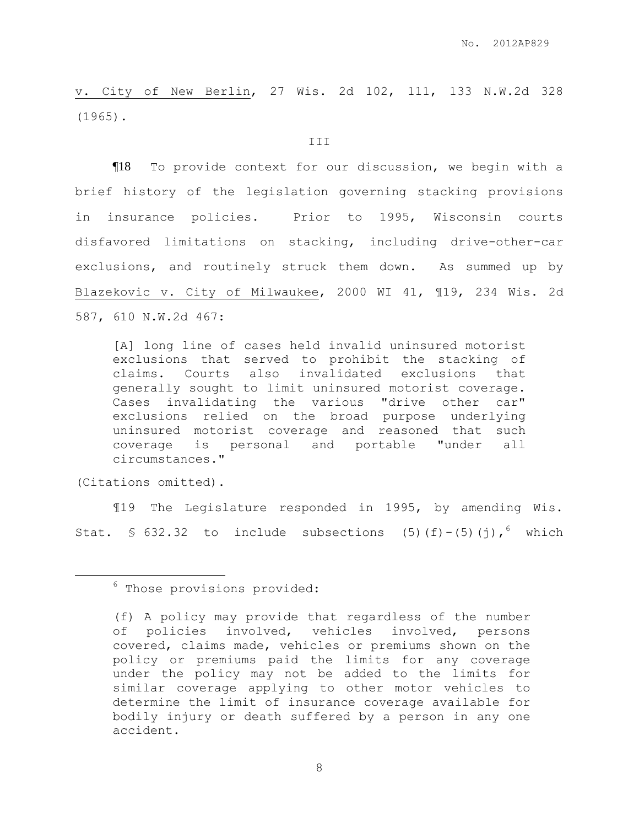v. City of New Berlin, 27 Wis. 2d 102, 111, 133 N.W.2d 328 (1965).

#### III

¶18 To provide context for our discussion, we begin with a brief history of the legislation governing stacking provisions in insurance policies. Prior to 1995, Wisconsin courts disfavored limitations on stacking, including drive-other-car exclusions, and routinely struck them down. As summed up by Blazekovic v. City of Milwaukee, 2000 WI 41, ¶19, 234 Wis. 2d 587, 610 N.W.2d 467:

[A] long line of cases held invalid uninsured motorist exclusions that served to prohibit the stacking of claims. Courts also invalidated exclusions that generally sought to limit uninsured motorist coverage. Cases invalidating the various "drive other car" exclusions relied on the broad purpose underlying uninsured motorist coverage and reasoned that such coverage is personal and portable "under all circumstances."

(Citations omitted).

 $\overline{a}$ 

¶19 The Legislature responded in 1995, by amending Wis. Stat. § 632.32 to include subsections (5)(f)-(5)(j), which

 $6$  Those provisions provided:

<sup>(</sup>f) A policy may provide that regardless of the number of policies involved, vehicles involved, persons covered, claims made, vehicles or premiums shown on the policy or premiums paid the limits for any coverage under the policy may not be added to the limits for similar coverage applying to other motor vehicles to determine the limit of insurance coverage available for bodily injury or death suffered by a person in any one accident.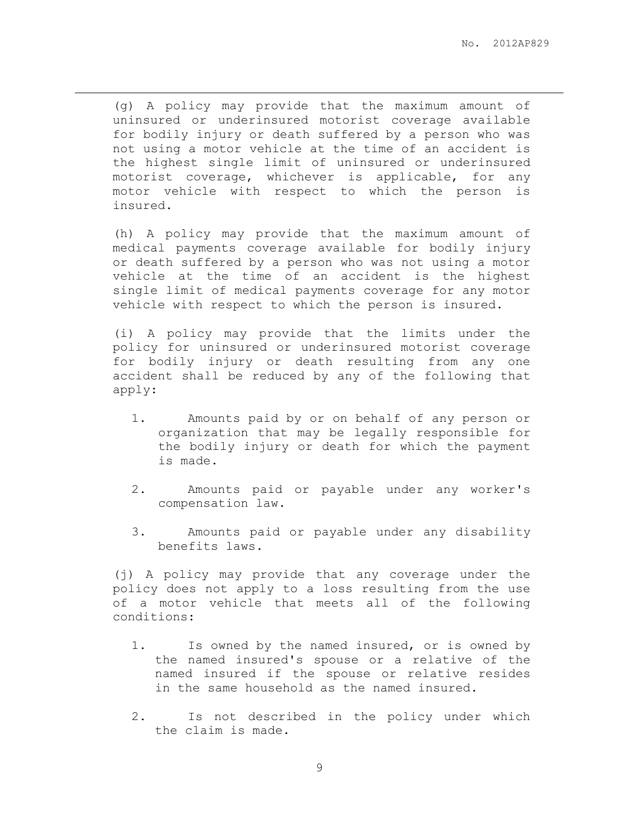(g) A policy may provide that the maximum amount of uninsured or underinsured motorist coverage available for bodily injury or death suffered by a person who was not using a motor vehicle at the time of an accident is the highest single limit of uninsured or underinsured motorist coverage, whichever is applicable, for any motor vehicle with respect to which the person is insured.

 $\overline{a}$ 

(h) A policy may provide that the maximum amount of medical payments coverage available for bodily injury or death suffered by a person who was not using a motor vehicle at the time of an accident is the highest single limit of medical payments coverage for any motor vehicle with respect to which the person is insured.

(i) A policy may provide that the limits under the policy for uninsured or underinsured motorist coverage for bodily injury or death resulting from any one accident shall be reduced by any of the following that apply:

- 1. Amounts paid by or on behalf of any person or organization that may be legally responsible for the bodily injury or death for which the payment is made.
- 2. Amounts paid or payable under any worker's compensation law.
- 3. Amounts paid or payable under any disability benefits laws.

(j) A policy may provide that any coverage under the policy does not apply to a loss resulting from the use of a motor vehicle that meets all of the following conditions:

- 1. Is owned by the named insured, or is owned by the named insured's spouse or a relative of the named insured if the spouse or relative resides in the same household as the named insured.
- 2. Is not described in the policy under which the claim is made.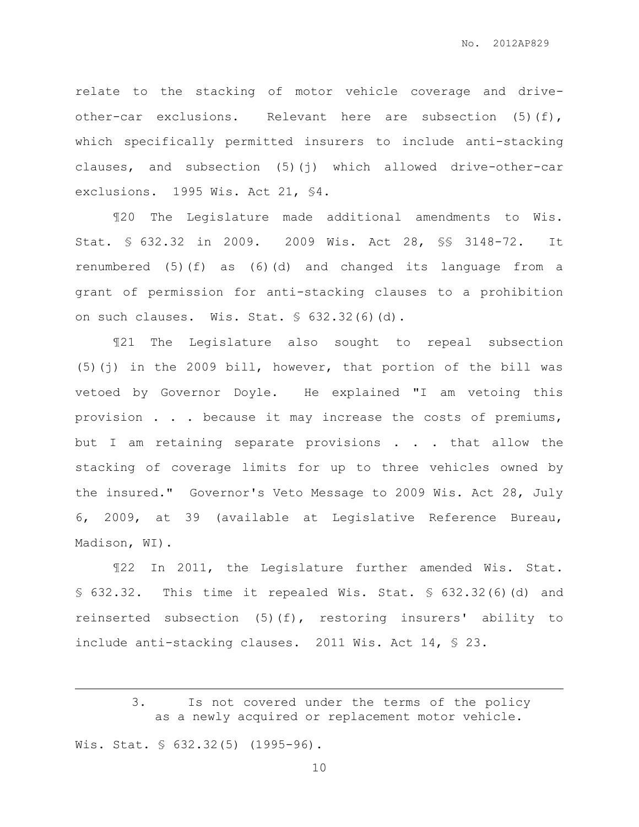relate to the stacking of motor vehicle coverage and driveother-car exclusions. Relevant here are subsection (5)(f), which specifically permitted insurers to include anti-stacking clauses, and subsection (5)(j) which allowed drive-other-car exclusions. 1995 Wis. Act 21, §4.

¶20 The Legislature made additional amendments to Wis. Stat. § 632.32 in 2009. 2009 Wis. Act 28, §§ 3148-72. It renumbered (5)(f) as (6)(d) and changed its language from a grant of permission for anti-stacking clauses to a prohibition on such clauses. Wis. Stat. § 632.32(6)(d).

¶21 The Legislature also sought to repeal subsection (5)(j) in the 2009 bill, however, that portion of the bill was vetoed by Governor Doyle. He explained "I am vetoing this provision . . . because it may increase the costs of premiums, but I am retaining separate provisions . . . that allow the stacking of coverage limits for up to three vehicles owned by the insured." Governor's Veto Message to 2009 Wis. Act 28, July 6, 2009, at 39 (available at Legislative Reference Bureau, Madison, WI).

¶22 In 2011, the Legislature further amended Wis. Stat. § 632.32. This time it repealed Wis. Stat. § 632.32(6)(d) and reinserted subsection (5)(f), restoring insurers' ability to include anti-stacking clauses. 2011 Wis. Act 14, § 23.

Wis. Stat. § 632.32(5) (1995-96).

 $\overline{a}$ 

<sup>3.</sup> Is not covered under the terms of the policy as a newly acquired or replacement motor vehicle.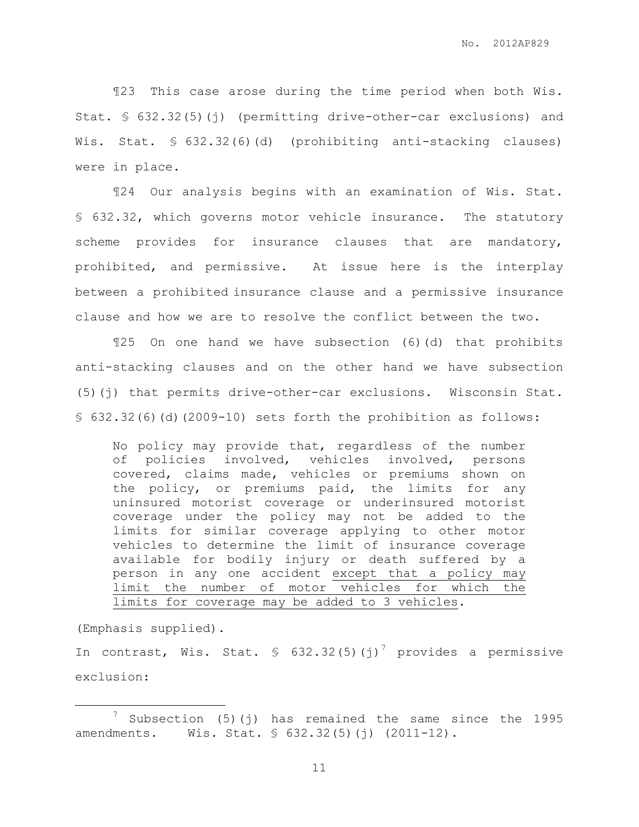¶23 This case arose during the time period when both Wis. Stat. § 632.32(5)(j) (permitting drive-other-car exclusions) and Wis. Stat. § 632.32(6)(d) (prohibiting anti-stacking clauses) were in place.

¶24 Our analysis begins with an examination of Wis. Stat. § 632.32, which governs motor vehicle insurance. The statutory scheme provides for insurance clauses that are mandatory, prohibited, and permissive. At issue here is the interplay between a prohibited insurance clause and a permissive insurance clause and how we are to resolve the conflict between the two.

¶25 On one hand we have subsection (6)(d) that prohibits anti-stacking clauses and on the other hand we have subsection (5)(j) that permits drive-other-car exclusions. Wisconsin Stat. § 632.32(6)(d)(2009-10) sets forth the prohibition as follows:

No policy may provide that, regardless of the number of policies involved, vehicles involved, persons covered, claims made, vehicles or premiums shown on the policy, or premiums paid, the limits for any uninsured motorist coverage or underinsured motorist coverage under the policy may not be added to the limits for similar coverage applying to other motor vehicles to determine the limit of insurance coverage available for bodily injury or death suffered by a person in any one accident except that a policy may limit the number of motor vehicles for which the limits for coverage may be added to 3 vehicles.

(Emphasis supplied).

 $\overline{a}$ 

In contrast, Wis. Stat. § 632.32(5)(j)<sup>7</sup> provides a permissive exclusion:

 $\frac{7}{1}$  Subsection (5)(j) has remained the same since the 1995 amendments. Wis. Stat. § 632.32(5)(j) (2011-12).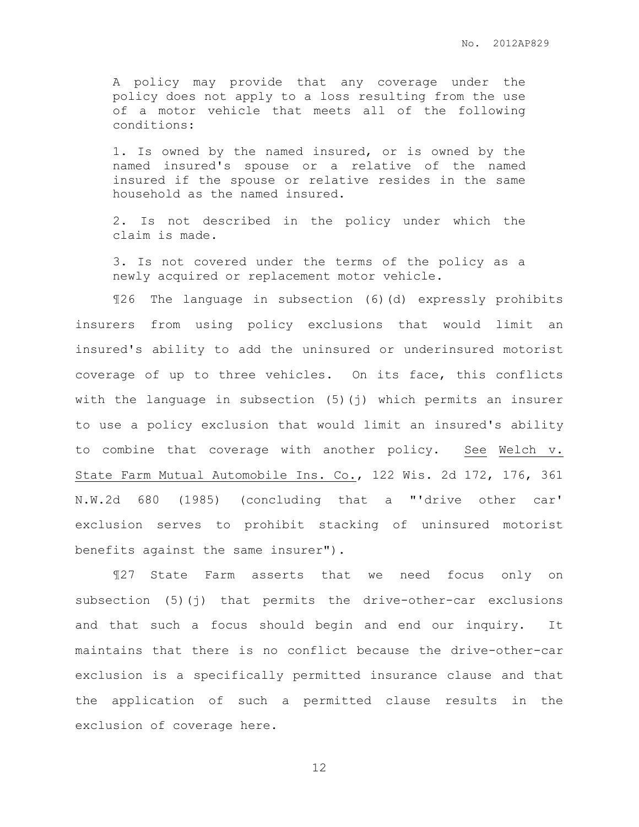A policy may provide that any coverage under the policy does not apply to a loss resulting from the use of a motor vehicle that meets all of the following conditions:

1. Is owned by the named insured, or is owned by the named insured's spouse or a relative of the named insured if the spouse or relative resides in the same household as the named insured.

2. Is not described in the policy under which the claim is made.

3. Is not covered under the terms of the policy as a newly acquired or replacement motor vehicle.

¶26 The language in subsection (6)(d) expressly prohibits insurers from using policy exclusions that would limit an insured's ability to add the uninsured or underinsured motorist coverage of up to three vehicles. On its face, this conflicts with the language in subsection (5)(j) which permits an insurer to use a policy exclusion that would limit an insured's ability to combine that coverage with another policy. See Welch v. State Farm Mutual Automobile Ins. Co., 122 Wis. 2d 172, 176, 361 N.W.2d 680 (1985) (concluding that a "'drive other car' exclusion serves to prohibit stacking of uninsured motorist benefits against the same insurer").

¶27 State Farm asserts that we need focus only on subsection (5)(j) that permits the drive-other-car exclusions and that such a focus should begin and end our inquiry. It maintains that there is no conflict because the drive-other-car exclusion is a specifically permitted insurance clause and that the application of such a permitted clause results in the exclusion of coverage here.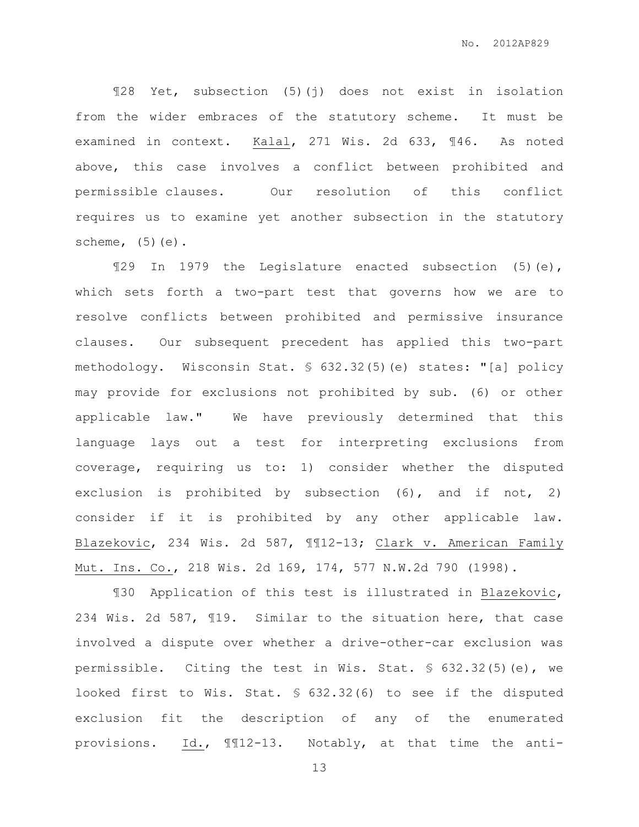¶28 Yet, subsection (5)(j) does not exist in isolation from the wider embraces of the statutory scheme. It must be examined in context. Kalal, 271 Wis. 2d 633, ¶46. As noted above, this case involves a conflict between prohibited and permissible clauses. Our resolution of this conflict requires us to examine yet another subsection in the statutory scheme,  $(5)(e)$ .

¶29 In 1979 the Legislature enacted subsection (5)(e), which sets forth a two-part test that governs how we are to resolve conflicts between prohibited and permissive insurance clauses. Our subsequent precedent has applied this two-part methodology. Wisconsin Stat. § 632.32(5)(e) states: "[a] policy may provide for exclusions not prohibited by sub. (6) or other applicable law." We have previously determined that this language lays out a test for interpreting exclusions from coverage, requiring us to: 1) consider whether the disputed exclusion is prohibited by subsection (6), and if not, 2) consider if it is prohibited by any other applicable law. Blazekovic, 234 Wis. 2d 587, ¶¶12-13; Clark v. American Family Mut. Ins. Co., 218 Wis. 2d 169, 174, 577 N.W.2d 790 (1998).

¶30 Application of this test is illustrated in Blazekovic, 234 Wis. 2d 587, ¶19. Similar to the situation here, that case involved a dispute over whether a drive-other-car exclusion was permissible. Citing the test in Wis. Stat. § 632.32(5)(e), we looked first to Wis. Stat. § 632.32(6) to see if the disputed exclusion fit the description of any of the enumerated provisions. Id., ¶¶12-13. Notably, at that time the anti-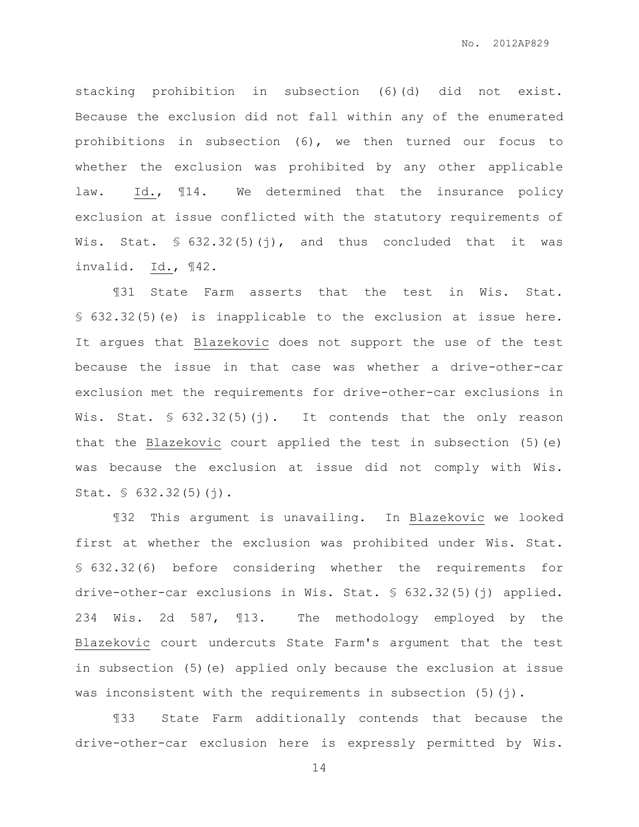stacking prohibition in subsection (6)(d) did not exist. Because the exclusion did not fall within any of the enumerated prohibitions in subsection (6), we then turned our focus to whether the exclusion was prohibited by any other applicable law. Id., ¶14. We determined that the insurance policy exclusion at issue conflicted with the statutory requirements of Wis. Stat. § 632.32(5)(j), and thus concluded that it was invalid. Id., ¶42.

¶31 State Farm asserts that the test in Wis. Stat. § 632.32(5)(e) is inapplicable to the exclusion at issue here. It argues that Blazekovic does not support the use of the test because the issue in that case was whether a drive-other-car exclusion met the requirements for drive-other-car exclusions in Wis. Stat.  $\frac{1}{5}$  632.32(5)(j). It contends that the only reason that the Blazekovic court applied the test in subsection (5)(e) was because the exclusion at issue did not comply with Wis. Stat. § 632.32(5)(j).

¶32 This argument is unavailing. In Blazekovic we looked first at whether the exclusion was prohibited under Wis. Stat. § 632.32(6) before considering whether the requirements for drive-other-car exclusions in Wis. Stat. § 632.32(5)(j) applied. 234 Wis. 2d 587, ¶13. The methodology employed by the Blazekovic court undercuts State Farm's argument that the test in subsection (5)(e) applied only because the exclusion at issue was inconsistent with the requirements in subsection  $(5)(j)$ .

¶33 State Farm additionally contends that because the drive-other-car exclusion here is expressly permitted by Wis.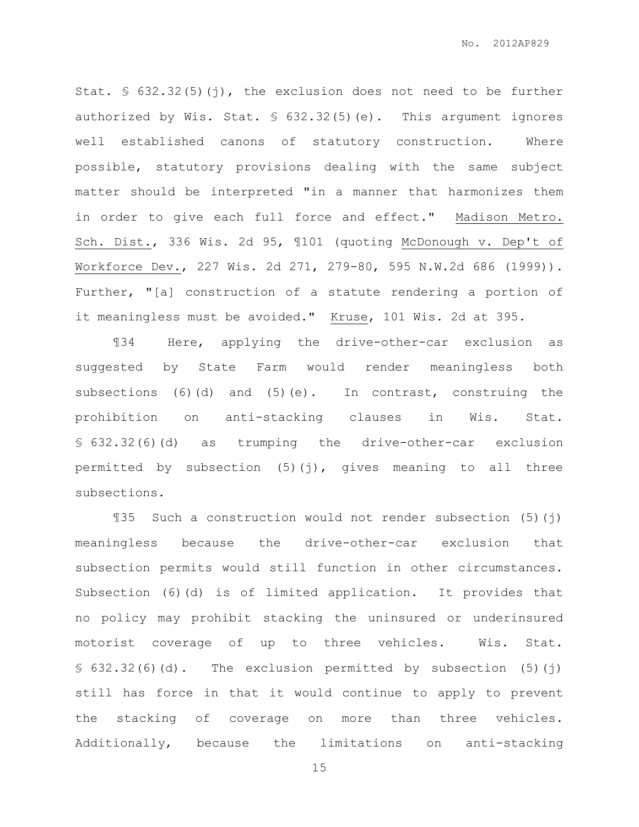Stat. § 632.32(5)(j), the exclusion does not need to be further authorized by Wis. Stat. § 632.32(5)(e). This argument ignores well established canons of statutory construction. Where possible, statutory provisions dealing with the same subject matter should be interpreted "in a manner that harmonizes them in order to give each full force and effect." Madison Metro. Sch. Dist., 336 Wis. 2d 95, ¶101 (quoting McDonough v. Dep't of Workforce Dev., 227 Wis. 2d 271, 279-80, 595 N.W.2d 686 (1999)). Further, "[a] construction of a statute rendering a portion of it meaningless must be avoided." Kruse, 101 Wis. 2d at 395.

¶34 Here, applying the drive-other-car exclusion as suggested by State Farm would render meaningless both subsections (6)(d) and (5)(e). In contrast, construing the prohibition on anti-stacking clauses in Wis. Stat. § 632.32(6)(d) as trumping the drive-other-car exclusion permitted by subsection (5)(j), gives meaning to all three subsections.

¶35 Such a construction would not render subsection (5)(j) meaningless because the drive-other-car exclusion that subsection permits would still function in other circumstances. Subsection (6)(d) is of limited application. It provides that no policy may prohibit stacking the uninsured or underinsured motorist coverage of up to three vehicles. Wis. Stat. § 632.32(6)(d). The exclusion permitted by subsection (5)(j) still has force in that it would continue to apply to prevent the stacking of coverage on more than three vehicles. Additionally, because the limitations on anti-stacking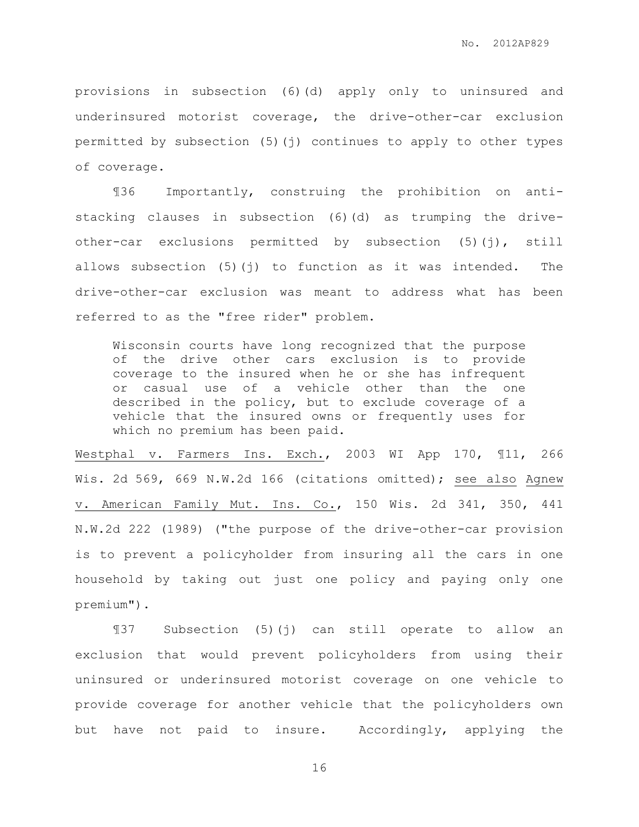provisions in subsection (6)(d) apply only to uninsured and underinsured motorist coverage, the drive-other-car exclusion permitted by subsection (5)(j) continues to apply to other types of coverage.

¶36 Importantly, construing the prohibition on antistacking clauses in subsection (6)(d) as trumping the driveother-car exclusions permitted by subsection (5)(j), still allows subsection (5)(j) to function as it was intended. The drive-other-car exclusion was meant to address what has been referred to as the "free rider" problem.

Wisconsin courts have long recognized that the purpose of the drive other cars exclusion is to provide coverage to the insured when he or she has infrequent or casual use of a vehicle other than the one described in the policy, but to exclude coverage of a vehicle that the insured owns or frequently uses for which no premium has been paid.

Westphal v. Farmers Ins. Exch., 2003 WI App 170, ¶11, 266 Wis. 2d 569, 669 N.W.2d 166 (citations omitted); see also Agnew v. American Family Mut. Ins. Co., 150 Wis. 2d 341, 350, 441 N.W.2d 222 (1989) ("the purpose of the drive-other-car provision is to prevent a policyholder from insuring all the cars in one household by taking out just one policy and paying only one premium").

¶37 Subsection (5)(j) can still operate to allow an exclusion that would prevent policyholders from using their uninsured or underinsured motorist coverage on one vehicle to provide coverage for another vehicle that the policyholders own but have not paid to insure. Accordingly, applying the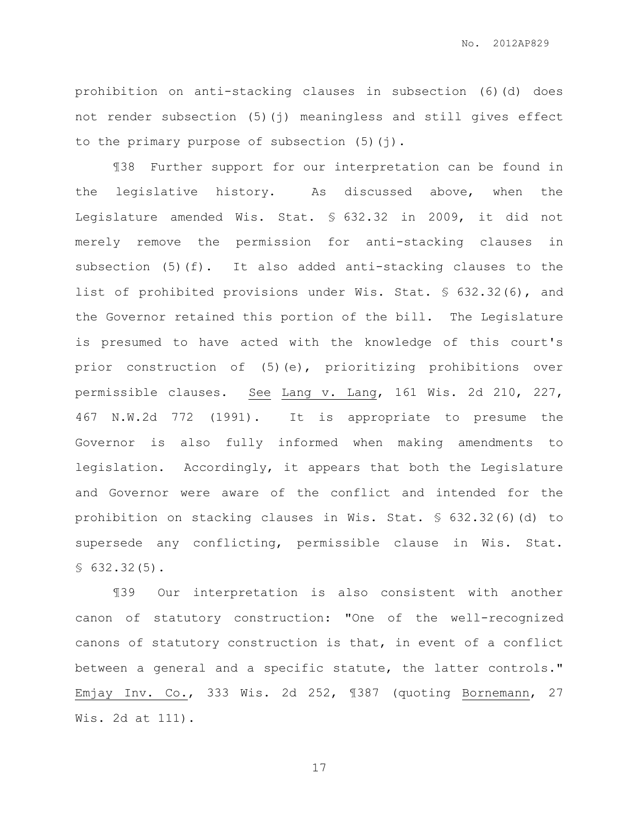No. 2012AP829

prohibition on anti-stacking clauses in subsection (6)(d) does not render subsection (5)(j) meaningless and still gives effect to the primary purpose of subsection (5)(j).

¶38 Further support for our interpretation can be found in the legislative history. As discussed above, when the Legislature amended Wis. Stat. § 632.32 in 2009, it did not merely remove the permission for anti-stacking clauses in subsection (5)(f). It also added anti-stacking clauses to the list of prohibited provisions under Wis. Stat. § 632.32(6), and the Governor retained this portion of the bill. The Legislature is presumed to have acted with the knowledge of this court's prior construction of (5)(e), prioritizing prohibitions over permissible clauses. See Lang v. Lang, 161 Wis. 2d 210, 227, 467 N.W.2d 772 (1991). It is appropriate to presume the Governor is also fully informed when making amendments to legislation. Accordingly, it appears that both the Legislature and Governor were aware of the conflict and intended for the prohibition on stacking clauses in Wis. Stat. § 632.32(6)(d) to supersede any conflicting, permissible clause in Wis. Stat.  $$632.32(5).$ 

¶39 Our interpretation is also consistent with another canon of statutory construction: "One of the well-recognized canons of statutory construction is that, in event of a conflict between a general and a specific statute, the latter controls." Emjay Inv. Co., 333 Wis. 2d 252, ¶387 (quoting Bornemann, 27 Wis. 2d at 111).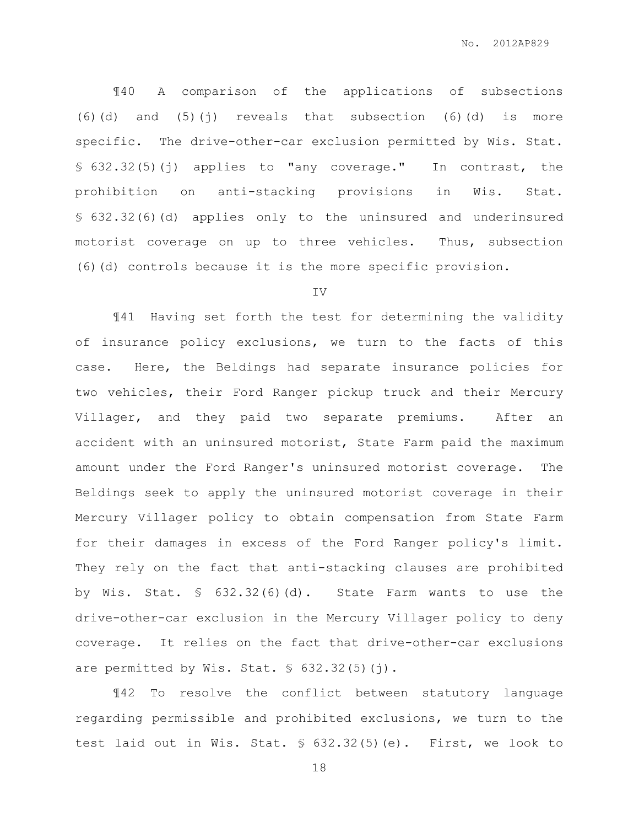¶40 A comparison of the applications of subsections  $(6)(d)$  and  $(5)(i)$  reveals that subsection  $(6)(d)$  is more specific. The drive-other-car exclusion permitted by Wis. Stat. § 632.32(5)(j) applies to "any coverage." In contrast, the prohibition on anti-stacking provisions in Wis. Stat. § 632.32(6)(d) applies only to the uninsured and underinsured motorist coverage on up to three vehicles. Thus, subsection (6)(d) controls because it is the more specific provision.

#### IV

¶41 Having set forth the test for determining the validity of insurance policy exclusions, we turn to the facts of this case. Here, the Beldings had separate insurance policies for two vehicles, their Ford Ranger pickup truck and their Mercury Villager, and they paid two separate premiums. After an accident with an uninsured motorist, State Farm paid the maximum amount under the Ford Ranger's uninsured motorist coverage. The Beldings seek to apply the uninsured motorist coverage in their Mercury Villager policy to obtain compensation from State Farm for their damages in excess of the Ford Ranger policy's limit. They rely on the fact that anti-stacking clauses are prohibited by Wis. Stat. § 632.32(6)(d). State Farm wants to use the drive-other-car exclusion in the Mercury Villager policy to deny coverage. It relies on the fact that drive-other-car exclusions are permitted by Wis. Stat. § 632.32(5)(j).

¶42 To resolve the conflict between statutory language regarding permissible and prohibited exclusions, we turn to the test laid out in Wis. Stat. § 632.32(5)(e). First, we look to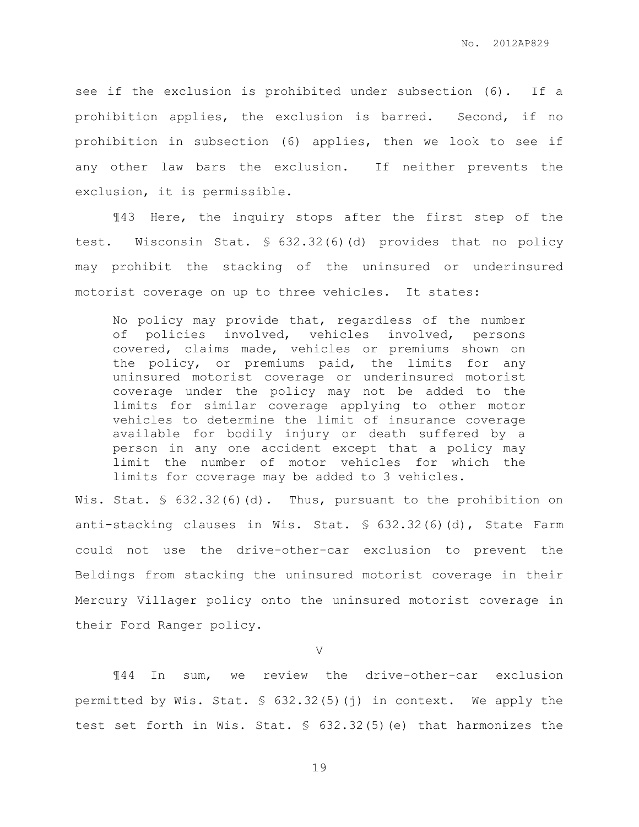see if the exclusion is prohibited under subsection (6). If a prohibition applies, the exclusion is barred. Second, if no prohibition in subsection (6) applies, then we look to see if any other law bars the exclusion. If neither prevents the exclusion, it is permissible.

¶43 Here, the inquiry stops after the first step of the test. Wisconsin Stat. § 632.32(6)(d) provides that no policy may prohibit the stacking of the uninsured or underinsured motorist coverage on up to three vehicles. It states:

No policy may provide that, regardless of the number of policies involved, vehicles involved, persons covered, claims made, vehicles or premiums shown on the policy, or premiums paid, the limits for any uninsured motorist coverage or underinsured motorist coverage under the policy may not be added to the limits for similar coverage applying to other motor vehicles to determine the limit of insurance coverage available for bodily injury or death suffered by a person in any one accident except that a policy may limit the number of motor vehicles for which the limits for coverage may be added to 3 vehicles.

Wis. Stat. § 632.32(6)(d). Thus, pursuant to the prohibition on anti-stacking clauses in Wis. Stat. § 632.32(6)(d), State Farm could not use the drive-other-car exclusion to prevent the Beldings from stacking the uninsured motorist coverage in their Mercury Villager policy onto the uninsured motorist coverage in their Ford Ranger policy.

V

¶44 In sum, we review the drive-other-car exclusion permitted by Wis. Stat. § 632.32(5)(j) in context. We apply the test set forth in Wis. Stat. § 632.32(5)(e) that harmonizes the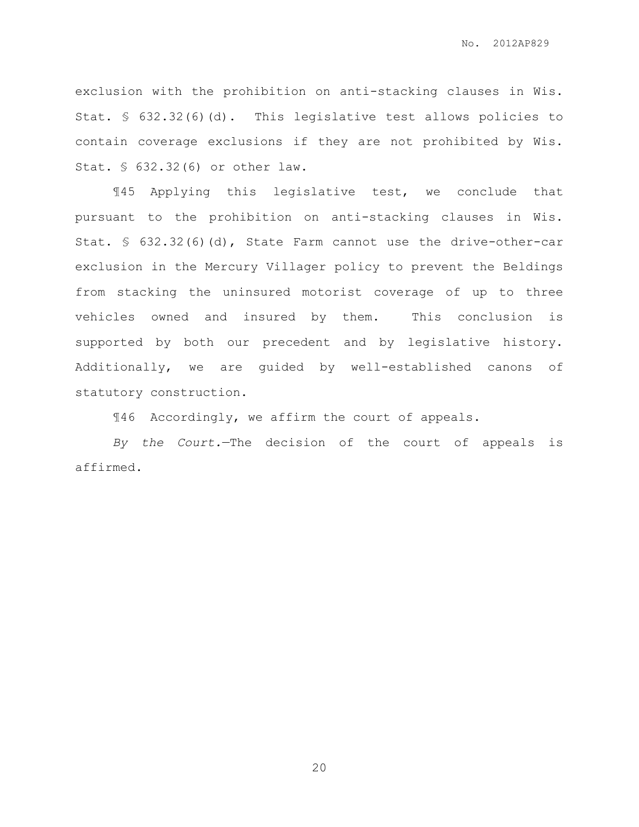exclusion with the prohibition on anti-stacking clauses in Wis. Stat. § 632.32(6)(d). This legislative test allows policies to contain coverage exclusions if they are not prohibited by Wis. Stat. § 632.32(6) or other law.

¶45 Applying this legislative test, we conclude that pursuant to the prohibition on anti-stacking clauses in Wis. Stat. § 632.32(6)(d), State Farm cannot use the drive-other-car exclusion in the Mercury Villager policy to prevent the Beldings from stacking the uninsured motorist coverage of up to three vehicles owned and insured by them. This conclusion is supported by both our precedent and by legislative history. Additionally, we are guided by well-established canons of statutory construction.

¶46 Accordingly, we affirm the court of appeals.

*By the Court.*—The decision of the court of appeals is affirmed.